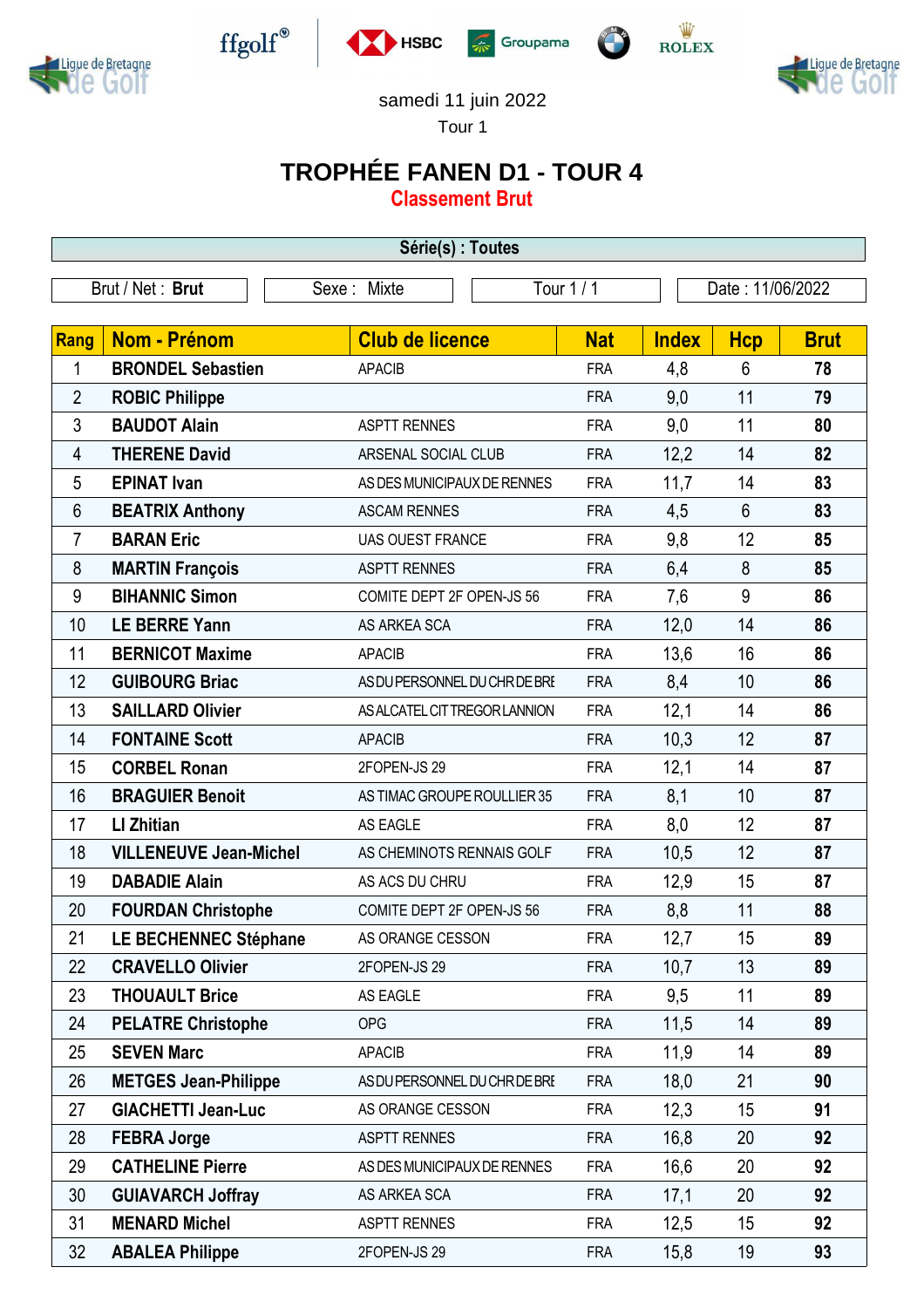



 $\operatorname{ffgolf}^{\circledast}$ 







## samedi 11 juin 2022

Tour 1

## **TROPHÉE FANEN D1 - TOUR 4**

**Classement Brut**

| Série(s) : Toutes |                               |                               |            |              |                  |             |  |  |
|-------------------|-------------------------------|-------------------------------|------------|--------------|------------------|-------------|--|--|
| Brut / Net: Brut  |                               | Sexe: Mixte                   | Tour 1 / 1 |              | Date: 11/06/2022 |             |  |  |
|                   |                               |                               |            |              |                  |             |  |  |
| <b>Rang</b>       | Nom - Prénom                  | <b>Club de licence</b>        | <b>Nat</b> | <b>Index</b> | <b>Hcp</b>       | <b>Brut</b> |  |  |
| 1                 | <b>BRONDEL Sebastien</b>      | <b>APACIB</b>                 | <b>FRA</b> | 4,8          | $6\phantom{1}$   | 78          |  |  |
| $\overline{2}$    | <b>ROBIC Philippe</b>         |                               | <b>FRA</b> | 9,0          | 11               | 79          |  |  |
| 3                 | <b>BAUDOT Alain</b>           | <b>ASPTT RENNES</b>           | <b>FRA</b> | 9,0          | 11               | 80          |  |  |
| 4                 | <b>THERENE David</b>          | ARSENAL SOCIAL CLUB           | <b>FRA</b> | 12,2         | 14               | 82          |  |  |
| 5                 | <b>EPINAT Ivan</b>            | AS DES MUNICIPAUX DE RENNES   | <b>FRA</b> | 11,7         | 14               | 83          |  |  |
| 6                 | <b>BEATRIX Anthony</b>        | <b>ASCAM RENNES</b>           | <b>FRA</b> | 4,5          | $6\phantom{1}$   | 83          |  |  |
| $\overline{7}$    | <b>BARAN Eric</b>             | <b>UAS OUEST FRANCE</b>       | <b>FRA</b> | 9,8          | 12               | 85          |  |  |
| 8                 | <b>MARTIN François</b>        | <b>ASPTT RENNES</b>           | <b>FRA</b> | 6,4          | 8                | 85          |  |  |
| 9                 | <b>BIHANNIC Simon</b>         | COMITE DEPT 2F OPEN-JS 56     | <b>FRA</b> | 7,6          | 9                | 86          |  |  |
| 10                | <b>LE BERRE Yann</b>          | AS ARKEA SCA                  | <b>FRA</b> | 12,0         | 14               | 86          |  |  |
| 11                | <b>BERNICOT Maxime</b>        | <b>APACIB</b>                 | <b>FRA</b> | 13,6         | 16               | 86          |  |  |
| 12                | <b>GUIBOURG Briac</b>         | AS DU PERSONNEL DU CHR DE BRE | <b>FRA</b> | 8,4          | 10               | 86          |  |  |
| 13                | <b>SAILLARD Olivier</b>       | AS ALCATEL CIT TREGOR LANNION | <b>FRA</b> | 12,1         | 14               | 86          |  |  |
| 14                | <b>FONTAINE Scott</b>         | <b>APACIB</b>                 | <b>FRA</b> | 10,3         | 12               | 87          |  |  |
| 15                | <b>CORBEL Ronan</b>           | 2FOPEN-JS 29                  | <b>FRA</b> | 12,1         | 14               | 87          |  |  |
| 16                | <b>BRAGUIER Benoit</b>        | AS TIMAC GROUPE ROULLIER 35   | <b>FRA</b> | 8,1          | 10               | 87          |  |  |
| 17                | <b>LI Zhitian</b>             | AS EAGLE                      | <b>FRA</b> | 8,0          | 12               | 87          |  |  |
| 18                | <b>VILLENEUVE Jean-Michel</b> | AS CHEMINOTS RENNAIS GOLF     | <b>FRA</b> | 10,5         | 12               | 87          |  |  |
| 19                | <b>DABADIE Alain</b>          | AS ACS DU CHRU                | <b>FRA</b> | 12,9         | 15               | 87          |  |  |
| 20                | <b>FOURDAN Christophe</b>     | COMITE DEPT 2F OPEN-JS 56     | <b>FRA</b> | 8,8          | 11               | 88          |  |  |
| 21                | LE BECHENNEC Stéphane         | AS ORANGE CESSON              | <b>FRA</b> | 12,7         | 15               | 89          |  |  |
| 22                | <b>CRAVELLO Olivier</b>       | 2FOPEN-JS 29                  | <b>FRA</b> | 10,7         | 13               | 89          |  |  |
| 23                | <b>THOUAULT Brice</b>         | AS EAGLE                      | <b>FRA</b> | 9,5          | 11               | 89          |  |  |
| 24                | <b>PELATRE Christophe</b>     | <b>OPG</b>                    | <b>FRA</b> | 11,5         | 14               | 89          |  |  |
| 25                | <b>SEVEN Marc</b>             | <b>APACIB</b>                 | <b>FRA</b> | 11,9         | 14               | 89          |  |  |
| 26                | <b>METGES Jean-Philippe</b>   | AS DU PERSONNEL DU CHR DE BRE | <b>FRA</b> | 18,0         | 21               | 90          |  |  |
| 27                | <b>GIACHETTI Jean-Luc</b>     | AS ORANGE CESSON              | <b>FRA</b> | 12,3         | 15               | 91          |  |  |
| 28                | <b>FEBRA Jorge</b>            | <b>ASPTT RENNES</b>           | <b>FRA</b> | 16,8         | 20               | 92          |  |  |
| 29                | <b>CATHELINE Pierre</b>       | AS DES MUNICIPAUX DE RENNES   | <b>FRA</b> | 16,6         | 20               | 92          |  |  |
| 30                | <b>GUIAVARCH Joffray</b>      | AS ARKEA SCA                  | <b>FRA</b> | 17,1         | 20               | 92          |  |  |
| 31                | <b>MENARD Michel</b>          | <b>ASPTT RENNES</b>           | <b>FRA</b> | 12,5         | 15               | 92          |  |  |
| 32                | <b>ABALEA Philippe</b>        | 2FOPEN-JS 29                  | <b>FRA</b> | 15,8         | 19               | 93          |  |  |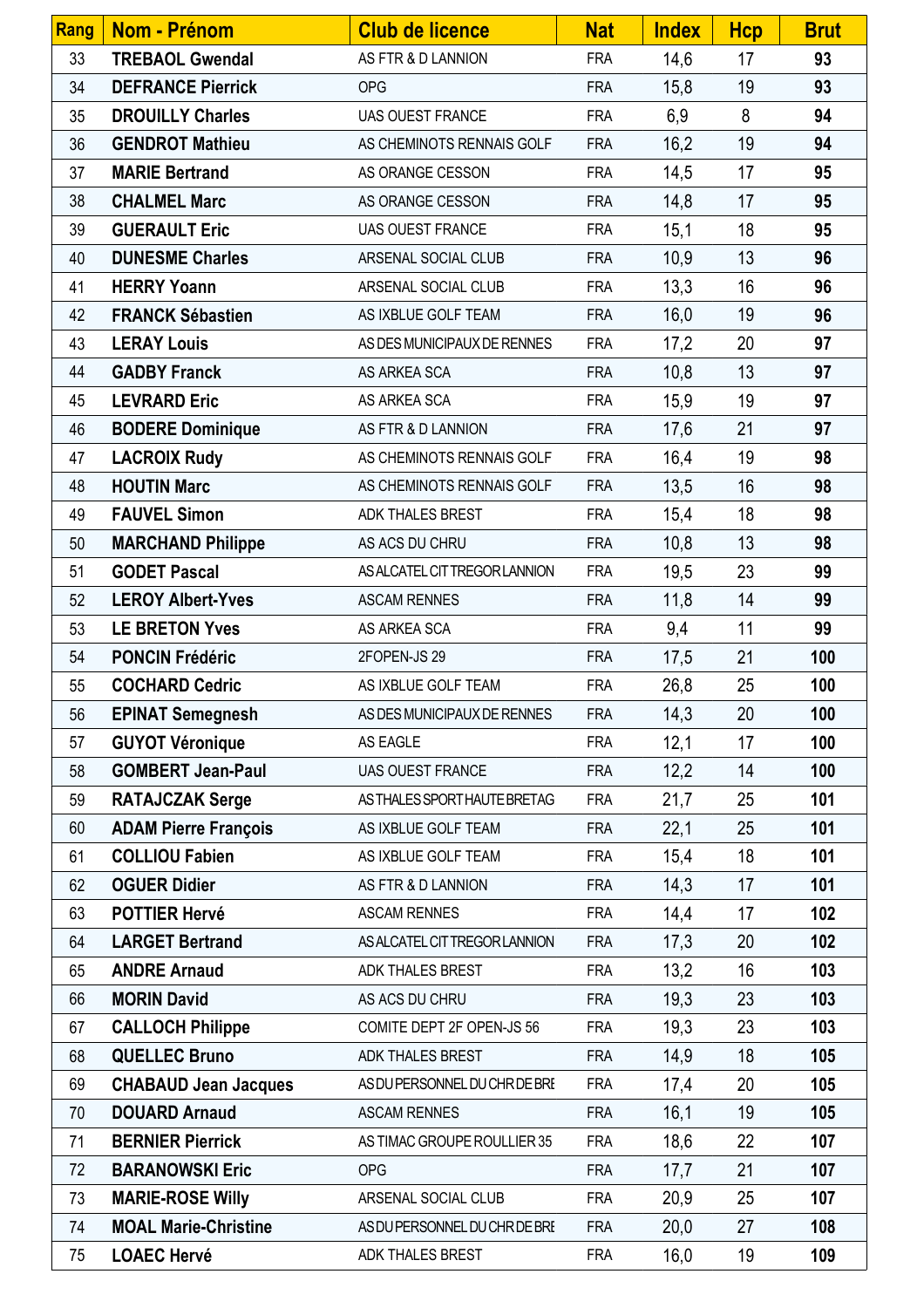| Rang | Nom - Prénom                | <b>Club de licence</b>        | <b>Nat</b> | <b>Index</b> | <b>Hcp</b> | <b>Brut</b> |
|------|-----------------------------|-------------------------------|------------|--------------|------------|-------------|
| 33   | <b>TREBAOL Gwendal</b>      | AS FTR & D LANNION            | <b>FRA</b> | 14,6         | 17         | 93          |
| 34   | <b>DEFRANCE Pierrick</b>    | <b>OPG</b>                    | <b>FRA</b> | 15,8         | 19         | 93          |
| 35   | <b>DROUILLY Charles</b>     | <b>UAS OUEST FRANCE</b>       | <b>FRA</b> | 6,9          | 8          | 94          |
| 36   | <b>GENDROT Mathieu</b>      | AS CHEMINOTS RENNAIS GOLF     | <b>FRA</b> | 16,2         | 19         | 94          |
| 37   | <b>MARIE Bertrand</b>       | AS ORANGE CESSON              | <b>FRA</b> | 14,5         | 17         | 95          |
| 38   | <b>CHALMEL Marc</b>         | AS ORANGE CESSON              | <b>FRA</b> | 14,8         | 17         | 95          |
| 39   | <b>GUERAULT Eric</b>        | <b>UAS OUEST FRANCE</b>       | <b>FRA</b> | 15,1         | 18         | 95          |
| 40   | <b>DUNESME Charles</b>      | ARSENAL SOCIAL CLUB           | <b>FRA</b> | 10,9         | 13         | 96          |
| 41   | <b>HERRY Yoann</b>          | ARSENAL SOCIAL CLUB           | <b>FRA</b> | 13,3         | 16         | 96          |
| 42   | <b>FRANCK Sébastien</b>     | AS IXBLUE GOLF TEAM           | <b>FRA</b> | 16,0         | 19         | 96          |
| 43   | <b>LERAY Louis</b>          | AS DES MUNICIPAUX DE RENNES   | <b>FRA</b> | 17,2         | 20         | 97          |
| 44   | <b>GADBY Franck</b>         | AS ARKEA SCA                  | <b>FRA</b> | 10,8         | 13         | 97          |
| 45   | <b>LEVRARD Eric</b>         | AS ARKEA SCA                  | <b>FRA</b> | 15,9         | 19         | 97          |
| 46   | <b>BODERE Dominique</b>     | AS FTR & D LANNION            | <b>FRA</b> | 17,6         | 21         | 97          |
| 47   | <b>LACROIX Rudy</b>         | AS CHEMINOTS RENNAIS GOLF     | <b>FRA</b> | 16,4         | 19         | 98          |
| 48   | <b>HOUTIN Marc</b>          | AS CHEMINOTS RENNAIS GOLF     | <b>FRA</b> | 13,5         | 16         | 98          |
| 49   | <b>FAUVEL Simon</b>         | ADK THALES BREST              | <b>FRA</b> | 15,4         | 18         | 98          |
| 50   | <b>MARCHAND Philippe</b>    | AS ACS DU CHRU                | <b>FRA</b> | 10,8         | 13         | 98          |
| 51   | <b>GODET Pascal</b>         | AS ALCATEL CIT TREGOR LANNION | <b>FRA</b> | 19,5         | 23         | 99          |
| 52   | <b>LEROY Albert-Yves</b>    | <b>ASCAM RENNES</b>           | <b>FRA</b> | 11,8         | 14         | 99          |
| 53   | <b>LE BRETON Yves</b>       | AS ARKEA SCA                  | <b>FRA</b> | 9,4          | 11         | 99          |
| 54   | <b>PONCIN Frédéric</b>      | 2FOPEN-JS 29                  | <b>FRA</b> | 17,5         | 21         | 100         |
| 55   | <b>COCHARD Cedric</b>       | AS IXBLUE GOLF TEAM           | <b>FRA</b> | 26,8         | 25         | 100         |
| 56   | <b>EPINAT Semegnesh</b>     | AS DES MUNICIPAUX DE RENNES   | <b>FRA</b> | 14,3         | 20         | 100         |
| 57   | <b>GUYOT Véronique</b>      | AS EAGLE                      | <b>FRA</b> | 12,1         | 17         | 100         |
| 58   | <b>GOMBERT Jean-Paul</b>    | <b>UAS OUEST FRANCE</b>       | <b>FRA</b> | 12,2         | 14         | 100         |
| 59   | <b>RATAJCZAK Serge</b>      | AS THALES SPORT HAUTE BRETAG  | <b>FRA</b> | 21,7         | 25         | 101         |
| 60   | <b>ADAM Pierre François</b> | AS IXBLUE GOLF TEAM           | <b>FRA</b> | 22,1         | 25         | 101         |
| 61   | <b>COLLIOU Fabien</b>       | AS IXBLUE GOLF TEAM           | <b>FRA</b> | 15,4         | 18         | 101         |
| 62   | <b>OGUER Didier</b>         | AS FTR & D LANNION            | <b>FRA</b> | 14,3         | 17         | 101         |
| 63   | <b>POTTIER Hervé</b>        | <b>ASCAM RENNES</b>           | <b>FRA</b> | 14,4         | 17         | 102         |
| 64   | <b>LARGET Bertrand</b>      | AS ALCATEL CIT TREGOR LANNION | <b>FRA</b> | 17,3         | 20         | 102         |
| 65   | <b>ANDRE Arnaud</b>         | ADK THALES BREST              | <b>FRA</b> | 13,2         | 16         | 103         |
| 66   | <b>MORIN David</b>          | AS ACS DU CHRU                | <b>FRA</b> | 19,3         | 23         | 103         |
| 67   | <b>CALLOCH Philippe</b>     | COMITE DEPT 2F OPEN-JS 56     | <b>FRA</b> | 19,3         | 23         | 103         |
| 68   | <b>QUELLEC Bruno</b>        | ADK THALES BREST              | <b>FRA</b> | 14,9         | 18         | 105         |
| 69   | <b>CHABAUD Jean Jacques</b> | AS DU PERSONNEL DU CHR DE BRE | <b>FRA</b> | 17,4         | 20         | 105         |
| 70   | <b>DOUARD Arnaud</b>        | <b>ASCAM RENNES</b>           | <b>FRA</b> | 16,1         | 19         | 105         |
| 71   | <b>BERNIER Pierrick</b>     | AS TIMAC GROUPE ROULLIER 35   | <b>FRA</b> | 18,6         | 22         | 107         |
| 72   | <b>BARANOWSKI Eric</b>      | <b>OPG</b>                    | <b>FRA</b> | 17,7         | 21         | 107         |
| 73   | <b>MARIE-ROSE Willy</b>     | ARSENAL SOCIAL CLUB           | <b>FRA</b> | 20,9         | 25         | 107         |
| 74   | <b>MOAL Marie-Christine</b> | AS DU PERSONNEL DU CHR DE BRE | <b>FRA</b> | 20,0         | 27         | 108         |
| 75   | <b>LOAEC Hervé</b>          | ADK THALES BREST              | <b>FRA</b> | 16,0         | 19         | 109         |